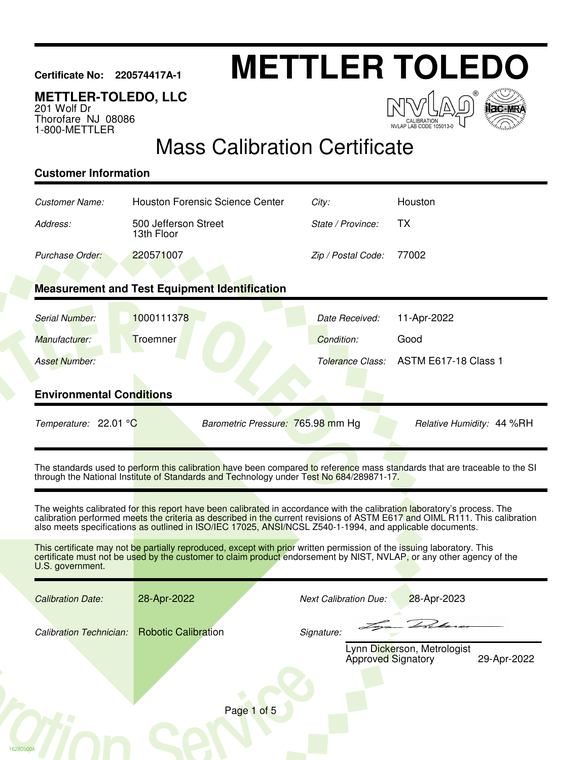# **Certificate No: 220574417A-1 METTLER TOLEDO**

### **METTLER-TOLEDO, LLC**

201 Wolf Dr Thorofare NJ 08086 1-800-METTLER

 $\sqrt{2}$ NVLAP LAB CODE 105013-0



## Mass Calibration Certificate

#### **Customer Information**

16280500A

| Customer Name:                  | <b>Houston Forensic Science Center</b>                                                                                                                                                                                                                                                                                                                              | City:                        | Houston                                    |
|---------------------------------|---------------------------------------------------------------------------------------------------------------------------------------------------------------------------------------------------------------------------------------------------------------------------------------------------------------------------------------------------------------------|------------------------------|--------------------------------------------|
| Address:                        | 500 Jefferson Street<br>13th Floor                                                                                                                                                                                                                                                                                                                                  | State / Province:            | <b>TX</b>                                  |
| Purchase Order:                 | 220571007                                                                                                                                                                                                                                                                                                                                                           | Zip / Postal Code:           | 77002                                      |
|                                 |                                                                                                                                                                                                                                                                                                                                                                     |                              |                                            |
|                                 | <b>Measurement and Test Equipment Identification</b>                                                                                                                                                                                                                                                                                                                |                              |                                            |
| Serial Number:                  | 1000111378                                                                                                                                                                                                                                                                                                                                                          | Date Received:               | 11-Apr-2022                                |
| Manufacturer:                   | Troemner                                                                                                                                                                                                                                                                                                                                                            | Condition:                   | Good                                       |
| <b>Asset Number:</b>            |                                                                                                                                                                                                                                                                                                                                                                     | Tolerance Class:             | <b>ASTM E617-18 Class 1</b>                |
|                                 |                                                                                                                                                                                                                                                                                                                                                                     |                              |                                            |
| <b>Environmental Conditions</b> |                                                                                                                                                                                                                                                                                                                                                                     |                              |                                            |
| Temperature: 22.01 °C           | Barometric Pressure: 765.98 mm Hg                                                                                                                                                                                                                                                                                                                                   |                              | Relative Humidity: 44 %RH                  |
|                                 | The standards used to perform this calibration have been compared to reference mass standards that are traceable to the SI<br>through the National Institute of Standards and Technology under Test No 684/289871-17.                                                                                                                                               |                              |                                            |
|                                 | The weights calibrated for this report have been calibrated in accordance with the calibration laboratory's process. The<br>calibration performed meets the criteria as described in the current revisions of ASTM E617 and OIML R111. This calibration<br>also meets specifications as outlined in ISO/IEC 17025, ANSI/NCSL Z540-1-1994, and applicable documents. |                              |                                            |
| U.S. government.                | This certificate may not be partially reproduced, except with prior written permission of the issuing laboratory. This<br>certificate must not be used by the customer to claim product endorsement by NIST, NVLAP, or any other agency of the                                                                                                                      |                              |                                            |
| <b>Calibration Date:</b>        | 28-Apr-2022                                                                                                                                                                                                                                                                                                                                                         | <b>Next Calibration Due:</b> | 28-Apr-2023                                |
| <b>Calibration Technician:</b>  | <b>Robotic Calibration</b>                                                                                                                                                                                                                                                                                                                                          | Signature:                   |                                            |
|                                 |                                                                                                                                                                                                                                                                                                                                                                     | <b>Approved Signatory</b>    | Lynn Dickerson, Metrologist<br>29-Apr-2022 |
|                                 |                                                                                                                                                                                                                                                                                                                                                                     |                              |                                            |
|                                 | Page 1 of 5                                                                                                                                                                                                                                                                                                                                                         |                              |                                            |
|                                 |                                                                                                                                                                                                                                                                                                                                                                     |                              |                                            |
|                                 |                                                                                                                                                                                                                                                                                                                                                                     |                              |                                            |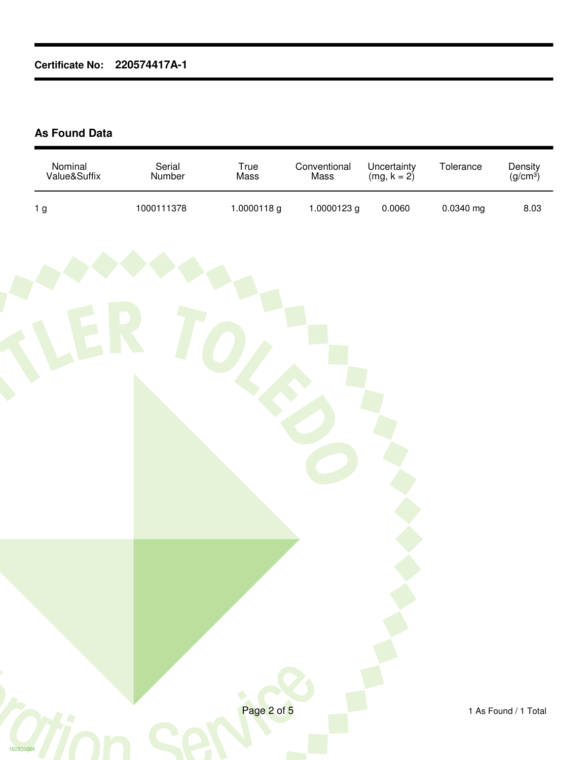#### **As Found Data**

| Nominal<br>Value&Suffix | Serial<br>Number | True<br>Mass | Conventional<br>Mass | Uncertainty<br>(mg, $k = 2$ ) | Tolerance | Density<br>(g/cm <sup>3</sup> ) |
|-------------------------|------------------|--------------|----------------------|-------------------------------|-----------|---------------------------------|
| 1 <sub>g</sub>          | 1000111378       | 1.0000118g   | 1.0000123 g          | 0.0060                        | 0.0340 mg | 8.03                            |
|                         |                  |              |                      |                               |           |                                 |
| 16280500A               |                  | Page 2 of 5  |                      |                               |           | 1 As Found / 1 Total            |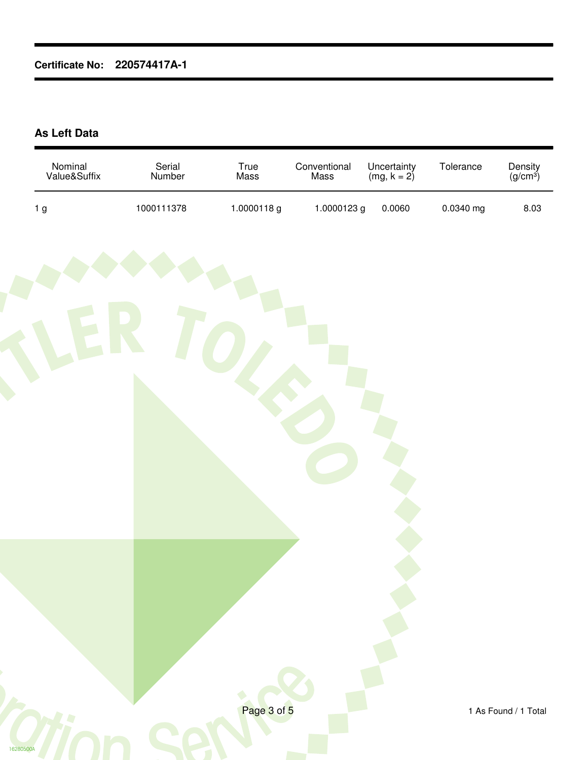#### **As Left Data**

| Nominal<br>Value&Suffix | Serial<br>Number | True<br>Mass | Conventional<br>Mass | Uncertainty<br>(mg, $k = 2$ ) | Tolerance | Density<br>(g/cm <sup>3</sup> ) |
|-------------------------|------------------|--------------|----------------------|-------------------------------|-----------|---------------------------------|
| 1 <sub>g</sub>          | 1000111378       | 1.0000118g   | 1.0000123 g          | 0.0060                        | 0.0340 mg | 8.03                            |
|                         |                  |              |                      |                               |           |                                 |
| 16280500A               |                  | Page 3 of 5  |                      |                               |           | 1 As Found / 1 Total            |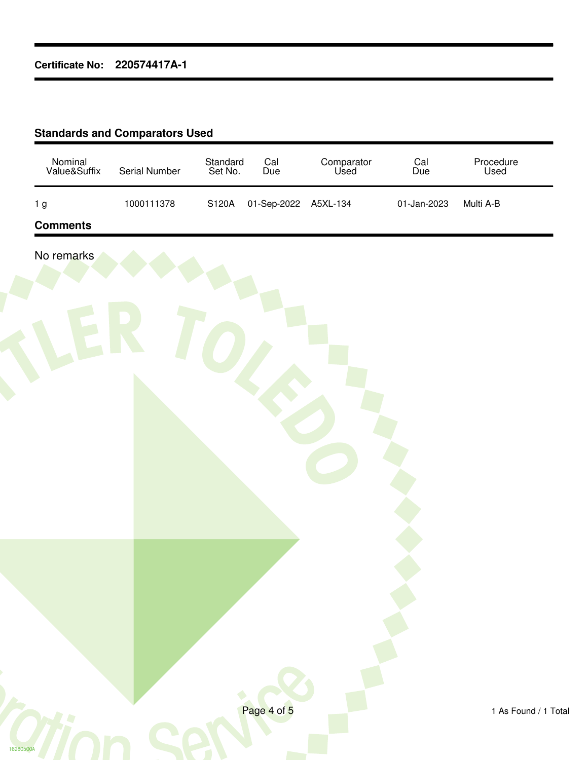#### **Standards and Comparators Used**

| 01-Sep-2022 A5XL-134<br>01-Jan-2023 | Multi A-B |
|-------------------------------------|-----------|
|                                     |           |
|                                     |           |
|                                     |           |
|                                     |           |